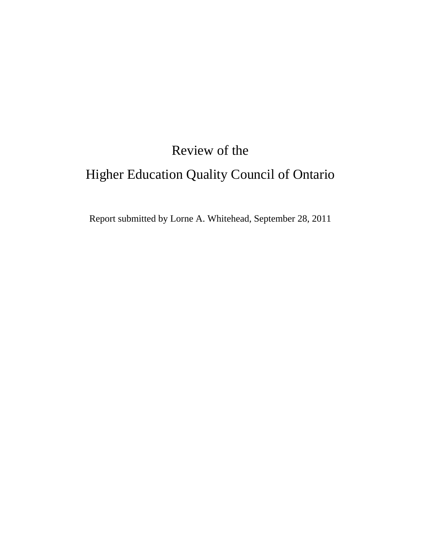# Review of the Higher Education Quality Council of Ontario

Report submitted by Lorne A. Whitehead, September 28, 2011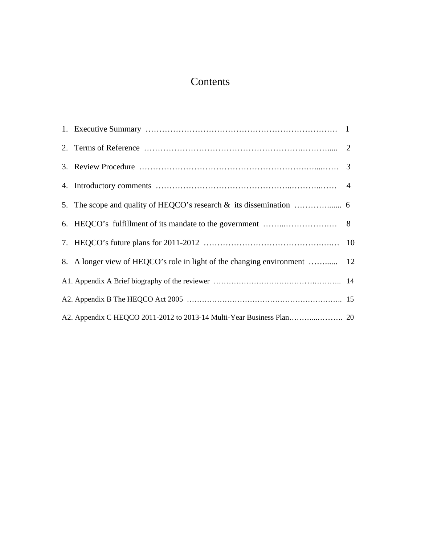# Contents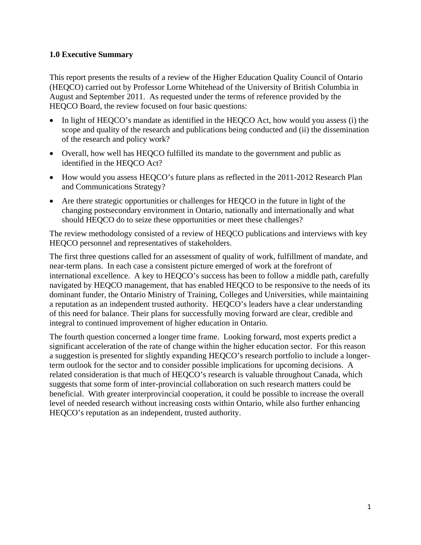#### **1.0 Executive Summary**

This report presents the results of a review of the Higher Education Quality Council of Ontario (HEQCO) carried out by Professor Lorne Whitehead of the University of British Columbia in August and September 2011. As requested under the terms of reference provided by the HEQCO Board, the review focused on four basic questions:

- In light of HEQCO's mandate as identified in the HEQCO Act, how would you assess (i) the scope and quality of the research and publications being conducted and (ii) the dissemination of the research and policy work?
- Overall, how well has HEQCO fulfilled its mandate to the government and public as identified in the HEQCO Act?
- How would you assess HEQCO's future plans as reflected in the 2011-2012 Research Plan and Communications Strategy?
- Are there strategic opportunities or challenges for HEQCO in the future in light of the changing postsecondary environment in Ontario, nationally and internationally and what should HEQCO do to seize these opportunities or meet these challenges?

The review methodology consisted of a review of HEQCO publications and interviews with key HEQCO personnel and representatives of stakeholders.

The first three questions called for an assessment of quality of work, fulfillment of mandate, and near-term plans. In each case a consistent picture emerged of work at the forefront of international excellence. A key to HEQCO's success has been to follow a middle path, carefully navigated by HEQCO management, that has enabled HEQCO to be responsive to the needs of its dominant funder, the Ontario Ministry of Training, Colleges and Universities, while maintaining a reputation as an independent trusted authority. HEQCO's leaders have a clear understanding of this need for balance. Their plans for successfully moving forward are clear, credible and integral to continued improvement of higher education in Ontario.

The fourth question concerned a longer time frame. Looking forward, most experts predict a significant acceleration of the rate of change within the higher education sector. For this reason a suggestion is presented for slightly expanding HEQCO's research portfolio to include a longerterm outlook for the sector and to consider possible implications for upcoming decisions. A related consideration is that much of HEQCO's research is valuable throughout Canada, which suggests that some form of inter-provincial collaboration on such research matters could be beneficial. With greater interprovincial cooperation, it could be possible to increase the overall level of needed research without increasing costs within Ontario, while also further enhancing HEQCO's reputation as an independent, trusted authority.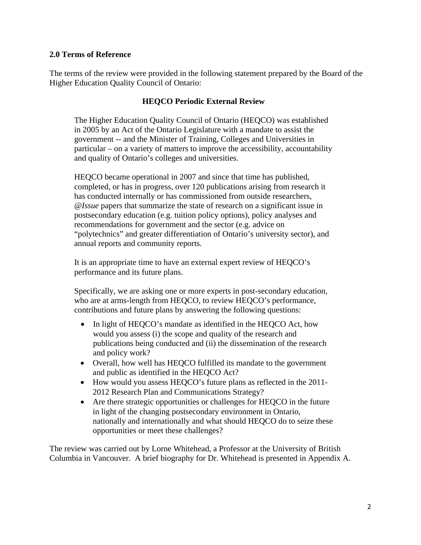#### **2.0 Terms of Reference**

The terms of the review were provided in the following statement prepared by the Board of the Higher Education Quality Council of Ontario:

#### **HEQCO Periodic External Review**

The Higher Education Quality Council of Ontario (HEQCO) was established in 2005 by an Act of the Ontario Legislature with a mandate to assist the government -- and the Minister of Training, Colleges and Universities in particular – on a variety of matters to improve the accessibility, accountability and quality of Ontario's colleges and universities.

HEQCO became operational in 2007 and since that time has published, completed, or has in progress, over 120 publications arising from research it has conducted internally or has commissioned from outside researchers, *@Issue* papers that summarize the state of research on a significant issue in postsecondary education (e.g. tuition policy options), policy analyses and recommendations for government and the sector (e.g. advice on "polytechnics" and greater differentiation of Ontario's university sector), and annual reports and community reports.

It is an appropriate time to have an external expert review of HEQCO's performance and its future plans.

Specifically, we are asking one or more experts in post-secondary education, who are at arms-length from HEQCO, to review HEQCO's performance, contributions and future plans by answering the following questions:

- In light of HEQCO's mandate as identified in the HEQCO Act, how would you assess (i) the scope and quality of the research and publications being conducted and (ii) the dissemination of the research and policy work?
- Overall, how well has HEQCO fulfilled its mandate to the government and public as identified in the HEQCO Act?
- How would you assess HEQCO's future plans as reflected in the 2011- 2012 Research Plan and Communications Strategy?
- Are there strategic opportunities or challenges for HEQCO in the future in light of the changing postsecondary environment in Ontario, nationally and internationally and what should HEQCO do to seize these opportunities or meet these challenges?

The review was carried out by Lorne Whitehead, a Professor at the University of British Columbia in Vancouver. A brief biography for Dr. Whitehead is presented in Appendix A.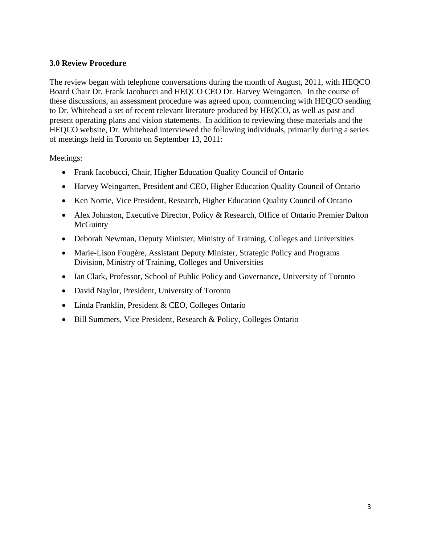#### **3.0 Review Procedure**

The review began with telephone conversations during the month of August, 2011, with HEQCO Board Chair Dr. Frank Iacobucci and HEQCO CEO Dr. Harvey Weingarten. In the course of these discussions, an assessment procedure was agreed upon, commencing with HEQCO sending to Dr. Whitehead a set of recent relevant literature produced by HEQCO, as well as past and present operating plans and vision statements. In addition to reviewing these materials and the HEQCO website, Dr. Whitehead interviewed the following individuals, primarily during a series of meetings held in Toronto on September 13, 2011:

Meetings:

- Frank Iacobucci, Chair, Higher Education Quality Council of Ontario
- Harvey Weingarten, President and CEO, Higher Education Quality Council of Ontario
- Ken Norrie, Vice President, Research, Higher Education Quality Council of Ontario
- Alex Johnston, Executive Director, Policy & Research, Office of Ontario Premier Dalton **McGuinty**
- Deborah Newman, Deputy Minister, Ministry of Training, Colleges and Universities
- Marie-Lison Fougère, Assistant Deputy Minister, Strategic Policy and Programs Division, Ministry of Training, Colleges and Universities
- Ian Clark, Professor, School of Public Policy and Governance, University of Toronto
- David Naylor, President, University of Toronto
- Linda Franklin, President & CEO, Colleges Ontario
- Bill Summers, Vice President, Research & Policy, Colleges Ontario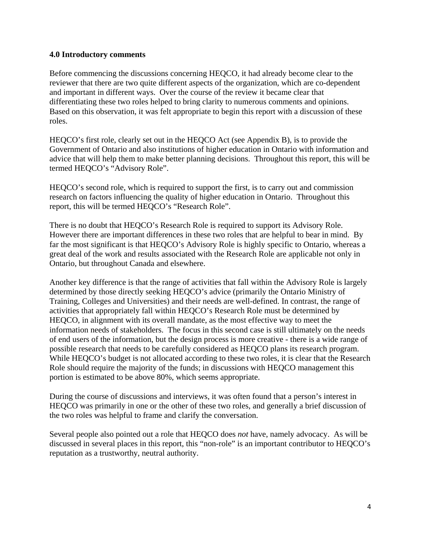#### **4.0 Introductory comments**

Before commencing the discussions concerning HEQCO, it had already become clear to the reviewer that there are two quite different aspects of the organization, which are co-dependent and important in different ways. Over the course of the review it became clear that differentiating these two roles helped to bring clarity to numerous comments and opinions. Based on this observation, it was felt appropriate to begin this report with a discussion of these roles.

HEQCO's first role, clearly set out in the HEQCO Act (see Appendix B), is to provide the Government of Ontario and also institutions of higher education in Ontario with information and advice that will help them to make better planning decisions. Throughout this report, this will be termed HEQCO's "Advisory Role".

HEQCO's second role, which is required to support the first, is to carry out and commission research on factors influencing the quality of higher education in Ontario. Throughout this report, this will be termed HEQCO's "Research Role".

There is no doubt that HEQCO's Research Role is required to support its Advisory Role. However there are important differences in these two roles that are helpful to bear in mind. By far the most significant is that HEQCO's Advisory Role is highly specific to Ontario, whereas a great deal of the work and results associated with the Research Role are applicable not only in Ontario, but throughout Canada and elsewhere.

Another key difference is that the range of activities that fall within the Advisory Role is largely determined by those directly seeking HEQCO's advice (primarily the Ontario Ministry of Training, Colleges and Universities) and their needs are well-defined. In contrast, the range of activities that appropriately fall within HEQCO's Research Role must be determined by HEQCO, in alignment with its overall mandate, as the most effective way to meet the information needs of stakeholders. The focus in this second case is still ultimately on the needs of end users of the information, but the design process is more creative - there is a wide range of possible research that needs to be carefully considered as HEQCO plans its research program. While HEQCO's budget is not allocated according to these two roles, it is clear that the Research Role should require the majority of the funds; in discussions with HEQCO management this portion is estimated to be above 80%, which seems appropriate.

During the course of discussions and interviews, it was often found that a person's interest in HEQCO was primarily in one or the other of these two roles, and generally a brief discussion of the two roles was helpful to frame and clarify the conversation.

Several people also pointed out a role that HEQCO does *not* have, namely advocacy. As will be discussed in several places in this report, this "non-role" is an important contributor to HEQCO's reputation as a trustworthy, neutral authority.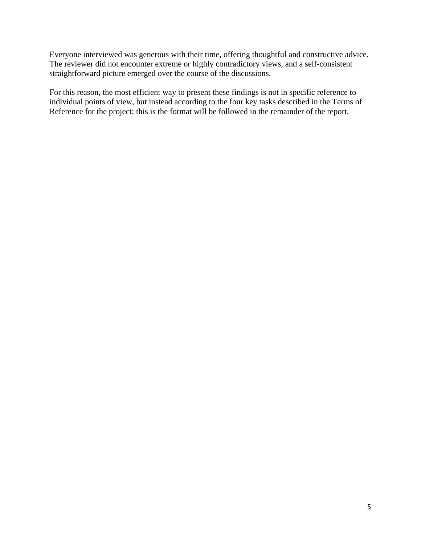Everyone interviewed was generous with their time, offering thoughtful and constructive advice. The reviewer did not encounter extreme or highly contradictory views, and a self-consistent straightforward picture emerged over the course of the discussions.

For this reason, the most efficient way to present these findings is not in specific reference to individual points of view, but instead according to the four key tasks described in the Terms of Reference for the project; this is the format will be followed in the remainder of the report.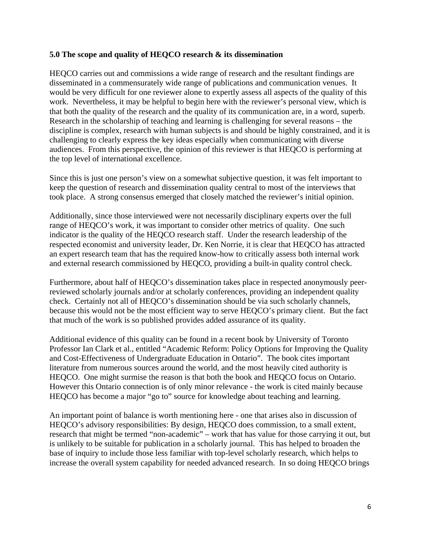#### **5.0 The scope and quality of HEQCO research & its dissemination**

HEQCO carries out and commissions a wide range of research and the resultant findings are disseminated in a commensurately wide range of publications and communication venues. It would be very difficult for one reviewer alone to expertly assess all aspects of the quality of this work. Nevertheless, it may be helpful to begin here with the reviewer's personal view, which is that both the quality of the research and the quality of its communication are, in a word, superb. Research in the scholarship of teaching and learning is challenging for several reasons – the discipline is complex, research with human subjects is and should be highly constrained, and it is challenging to clearly express the key ideas especially when communicating with diverse audiences. From this perspective, the opinion of this reviewer is that HEQCO is performing at the top level of international excellence.

Since this is just one person's view on a somewhat subjective question, it was felt important to keep the question of research and dissemination quality central to most of the interviews that took place. A strong consensus emerged that closely matched the reviewer's initial opinion.

Additionally, since those interviewed were not necessarily disciplinary experts over the full range of HEQCO's work, it was important to consider other metrics of quality. One such indicator is the quality of the HEQCO research staff. Under the research leadership of the respected economist and university leader, Dr. Ken Norrie, it is clear that HEQCO has attracted an expert research team that has the required know-how to critically assess both internal work and external research commissioned by HEQCO, providing a built-in quality control check.

Furthermore, about half of HEQCO's dissemination takes place in respected anonymously peerreviewed scholarly journals and/or at scholarly conferences, providing an independent quality check. Certainly not all of HEQCO's dissemination should be via such scholarly channels, because this would not be the most efficient way to serve HEQCO's primary client. But the fact that much of the work is so published provides added assurance of its quality.

Additional evidence of this quality can be found in a recent book by University of Toronto Professor Ian Clark et al., entitled "Academic Reform: Policy Options for Improving the Quality and Cost-Effectiveness of Undergraduate Education in Ontario". The book cites important literature from numerous sources around the world, and the most heavily cited authority is HEQCO. One might surmise the reason is that both the book and HEQCO focus on Ontario. However this Ontario connection is of only minor relevance - the work is cited mainly because HEQCO has become a major "go to" source for knowledge about teaching and learning.

An important point of balance is worth mentioning here - one that arises also in discussion of HEQCO's advisory responsibilities: By design, HEQCO does commission, to a small extent, research that might be termed "non-academic" – work that has value for those carrying it out, but is unlikely to be suitable for publication in a scholarly journal. This has helped to broaden the base of inquiry to include those less familiar with top-level scholarly research, which helps to increase the overall system capability for needed advanced research. In so doing HEQCO brings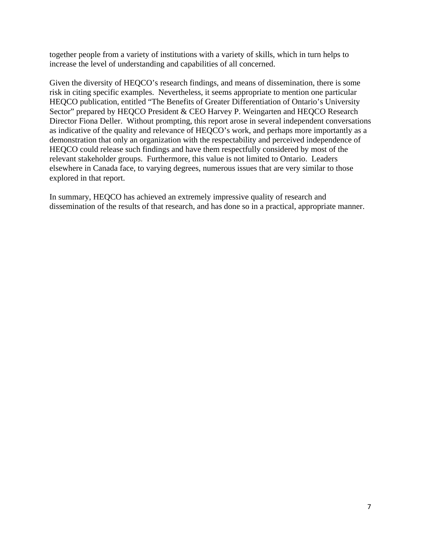together people from a variety of institutions with a variety of skills, which in turn helps to increase the level of understanding and capabilities of all concerned.

Given the diversity of HEQCO's research findings, and means of dissemination, there is some risk in citing specific examples. Nevertheless, it seems appropriate to mention one particular HEQCO publication, entitled "The Benefits of Greater Differentiation of Ontario's University Sector" prepared by HEQCO President & CEO Harvey P. Weingarten and HEQCO Research Director Fiona Deller. Without prompting, this report arose in several independent conversations as indicative of the quality and relevance of HEQCO's work, and perhaps more importantly as a demonstration that only an organization with the respectability and perceived independence of HEQCO could release such findings and have them respectfully considered by most of the relevant stakeholder groups. Furthermore, this value is not limited to Ontario. Leaders elsewhere in Canada face, to varying degrees, numerous issues that are very similar to those explored in that report.

In summary, HEQCO has achieved an extremely impressive quality of research and dissemination of the results of that research, and has done so in a practical, appropriate manner.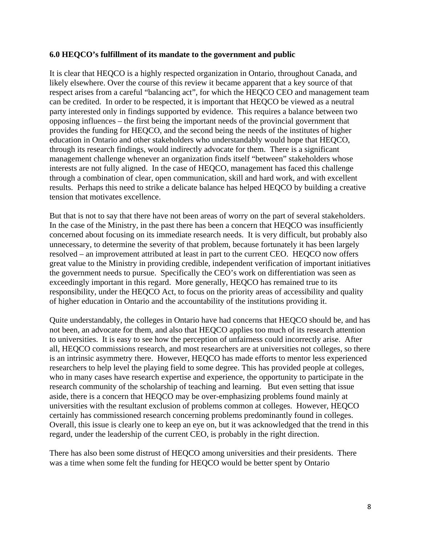#### **6.0 HEQCO's fulfillment of its mandate to the government and public**

It is clear that HEQCO is a highly respected organization in Ontario, throughout Canada, and likely elsewhere. Over the course of this review it became apparent that a key source of that respect arises from a careful "balancing act", for which the HEQCO CEO and management team can be credited. In order to be respected, it is important that HEQCO be viewed as a neutral party interested only in findings supported by evidence. This requires a balance between two opposing influences – the first being the important needs of the provincial government that provides the funding for HEQCO, and the second being the needs of the institutes of higher education in Ontario and other stakeholders who understandably would hope that HEQCO, through its research findings, would indirectly advocate for them. There is a significant management challenge whenever an organization finds itself "between" stakeholders whose interests are not fully aligned. In the case of HEQCO, management has faced this challenge through a combination of clear, open communication, skill and hard work, and with excellent results. Perhaps this need to strike a delicate balance has helped HEQCO by building a creative tension that motivates excellence.

But that is not to say that there have not been areas of worry on the part of several stakeholders. In the case of the Ministry, in the past there has been a concern that HEQCO was insufficiently concerned about focusing on its immediate research needs. It is very difficult, but probably also unnecessary, to determine the severity of that problem, because fortunately it has been largely resolved – an improvement attributed at least in part to the current CEO. HEQCO now offers great value to the Ministry in providing credible, independent verification of important initiatives the government needs to pursue. Specifically the CEO's work on differentiation was seen as exceedingly important in this regard. More generally, HEQCO has remained true to its responsibility, under the HEQCO Act, to focus on the priority areas of accessibility and quality of higher education in Ontario and the accountability of the institutions providing it.

Quite understandably, the colleges in Ontario have had concerns that HEQCO should be, and has not been, an advocate for them, and also that HEQCO applies too much of its research attention to universities. It is easy to see how the perception of unfairness could incorrectly arise. After all, HEQCO commissions research, and most researchers are at universities not colleges, so there is an intrinsic asymmetry there. However, HEQCO has made efforts to mentor less experienced researchers to help level the playing field to some degree. This has provided people at colleges, who in many cases have research expertise and experience, the opportunity to participate in the research community of the scholarship of teaching and learning. But even setting that issue aside, there is a concern that HEQCO may be over-emphasizing problems found mainly at universities with the resultant exclusion of problems common at colleges. However, HEQCO certainly has commissioned research concerning problems predominantly found in colleges. Overall, this issue is clearly one to keep an eye on, but it was acknowledged that the trend in this regard, under the leadership of the current CEO, is probably in the right direction.

There has also been some distrust of HEQCO among universities and their presidents. There was a time when some felt the funding for HEOCO would be better spent by Ontario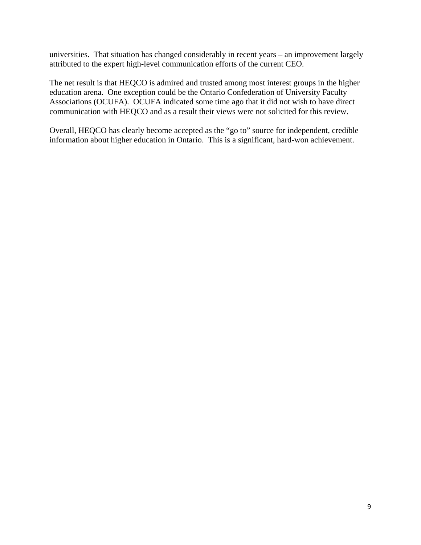universities. That situation has changed considerably in recent years – an improvement largely attributed to the expert high-level communication efforts of the current CEO.

The net result is that HEQCO is admired and trusted among most interest groups in the higher education arena. One exception could be the Ontario Confederation of University Faculty Associations (OCUFA). OCUFA indicated some time ago that it did not wish to have direct communication with HEQCO and as a result their views were not solicited for this review.

Overall, HEQCO has clearly become accepted as the "go to" source for independent, credible information about higher education in Ontario. This is a significant, hard-won achievement.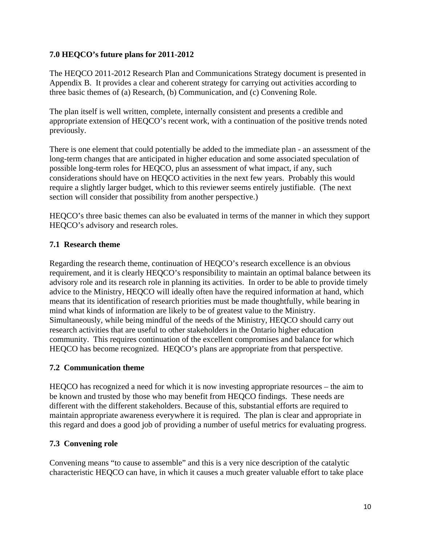# **7.0 HEQCO's future plans for 2011-2012**

The HEQCO 2011-2012 Research Plan and Communications Strategy document is presented in Appendix B. It provides a clear and coherent strategy for carrying out activities according to three basic themes of (a) Research, (b) Communication, and (c) Convening Role.

The plan itself is well written, complete, internally consistent and presents a credible and appropriate extension of HEQCO's recent work, with a continuation of the positive trends noted previously.

There is one element that could potentially be added to the immediate plan - an assessment of the long-term changes that are anticipated in higher education and some associated speculation of possible long-term roles for HEQCO, plus an assessment of what impact, if any, such considerations should have on HEQCO activities in the next few years. Probably this would require a slightly larger budget, which to this reviewer seems entirely justifiable. (The next section will consider that possibility from another perspective.)

HEQCO's three basic themes can also be evaluated in terms of the manner in which they support HEQCO's advisory and research roles.

# **7.1 Research theme**

Regarding the research theme, continuation of HEQCO's research excellence is an obvious requirement, and it is clearly HEQCO's responsibility to maintain an optimal balance between its advisory role and its research role in planning its activities. In order to be able to provide timely advice to the Ministry, HEQCO will ideally often have the required information at hand, which means that its identification of research priorities must be made thoughtfully, while bearing in mind what kinds of information are likely to be of greatest value to the Ministry. Simultaneously, while being mindful of the needs of the Ministry, HEQCO should carry out research activities that are useful to other stakeholders in the Ontario higher education community. This requires continuation of the excellent compromises and balance for which HEQCO has become recognized. HEQCO's plans are appropriate from that perspective.

#### **7.2 Communication theme**

HEQCO has recognized a need for which it is now investing appropriate resources – the aim to be known and trusted by those who may benefit from HEQCO findings. These needs are different with the different stakeholders. Because of this, substantial efforts are required to maintain appropriate awareness everywhere it is required. The plan is clear and appropriate in this regard and does a good job of providing a number of useful metrics for evaluating progress.

#### **7.3 Convening role**

Convening means "to cause to assemble" and this is a very nice description of the catalytic characteristic HEQCO can have, in which it causes a much greater valuable effort to take place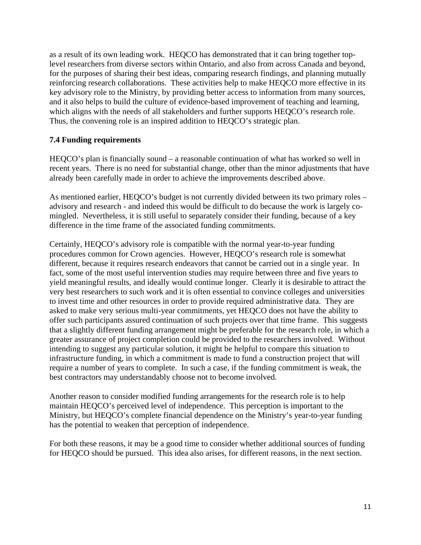as a result of its own leading work. HEQCO has demonstrated that it can bring together toplevel researchers from diverse sectors within Ontario, and also from across Canada and beyond, for the purposes of sharing their best ideas, comparing research findings, and planning mutually reinforcing research collaborations. These activities help to make HEQCO more effective in its key advisory role to the Ministry, by providing better access to information from many sources, and it also helps to build the culture of evidence-based improvement of teaching and learning, which aligns with the needs of all stakeholders and further supports HEQCO's research role. Thus, the convening role is an inspired addition to HEQCO's strategic plan.

#### **7.4 Funding requirements**

HEQCO's plan is financially sound – a reasonable continuation of what has worked so well in recent years. There is no need for substantial change, other than the minor adjustments that have already been carefully made in order to achieve the improvements described above.

As mentioned earlier, HEQCO's budget is not currently divided between its two primary roles – advisory and research - and indeed this would be difficult to do because the work is largely comingled. Nevertheless, it is still useful to separately consider their funding, because of a key difference in the time frame of the associated funding commitments.

Certainly, HEQCO's advisory role is compatible with the normal year-to-year funding procedures common for Crown agencies. However, HEQCO's research role is somewhat different, because it requires research endeavors that cannot be carried out in a single year. In fact, some of the most useful intervention studies may require between three and five years to yield meaningful results, and ideally would continue longer. Clearly it is desirable to attract the very best researchers to such work and it is often essential to convince colleges and universities to invest time and other resources in order to provide required administrative data. They are asked to make very serious multi-year commitments, yet HEQCO does not have the ability to offer such participants assured continuation of such projects over that time frame. This suggests that a slightly different funding arrangement might be preferable for the research role, in which a greater assurance of project completion could be provided to the researchers involved. Without intending to suggest any particular solution, it might be helpful to compare this situation to infrastructure funding, in which a commitment is made to fund a construction project that will require a number of years to complete. In such a case, if the funding commitment is weak, the best contractors may understandably choose not to become involved.

Another reason to consider modified funding arrangements for the research role is to help maintain HEQCO's perceived level of independence. This perception is important to the Ministry, but HEQCO's complete financial dependence on the Ministry's year-to-year funding has the potential to weaken that perception of independence.

For both these reasons, it may be a good time to consider whether additional sources of funding for HEQCO should be pursued. This idea also arises, for different reasons, in the next section.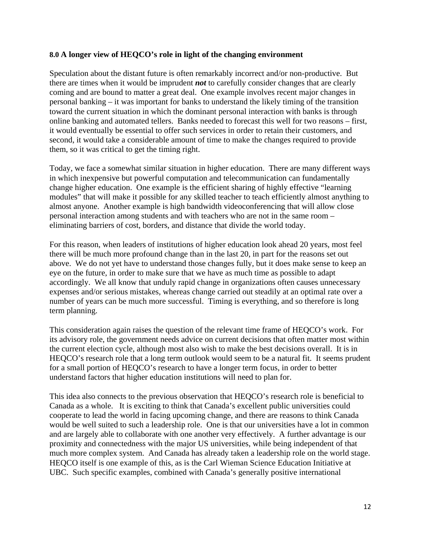#### **8.0 A longer view of HEQCO's role in light of the changing environment**

Speculation about the distant future is often remarkably incorrect and/or non-productive. But there are times when it would be imprudent *not* to carefully consider changes that are clearly coming and are bound to matter a great deal. One example involves recent major changes in personal banking – it was important for banks to understand the likely timing of the transition toward the current situation in which the dominant personal interaction with banks is through online banking and automated tellers. Banks needed to forecast this well for two reasons – first, it would eventually be essential to offer such services in order to retain their customers, and second, it would take a considerable amount of time to make the changes required to provide them, so it was critical to get the timing right.

Today, we face a somewhat similar situation in higher education. There are many different ways in which inexpensive but powerful computation and telecommunication can fundamentally change higher education. One example is the efficient sharing of highly effective "learning modules" that will make it possible for any skilled teacher to teach efficiently almost anything to almost anyone. Another example is high bandwidth videoconferencing that will allow close personal interaction among students and with teachers who are not in the same room – eliminating barriers of cost, borders, and distance that divide the world today.

For this reason, when leaders of institutions of higher education look ahead 20 years, most feel there will be much more profound change than in the last 20, in part for the reasons set out above. We do not yet have to understand those changes fully, but it does make sense to keep an eye on the future, in order to make sure that we have as much time as possible to adapt accordingly. We all know that unduly rapid change in organizations often causes unnecessary expenses and/or serious mistakes, whereas change carried out steadily at an optimal rate over a number of years can be much more successful. Timing is everything, and so therefore is long term planning.

This consideration again raises the question of the relevant time frame of HEQCO's work. For its advisory role, the government needs advice on current decisions that often matter most within the current election cycle, although most also wish to make the best decisions overall. It is in HEQCO's research role that a long term outlook would seem to be a natural fit. It seems prudent for a small portion of HEQCO's research to have a longer term focus, in order to better understand factors that higher education institutions will need to plan for.

This idea also connects to the previous observation that HEQCO's research role is beneficial to Canada as a whole. It is exciting to think that Canada's excellent public universities could cooperate to lead the world in facing upcoming change, and there are reasons to think Canada would be well suited to such a leadership role. One is that our universities have a lot in common and are largely able to collaborate with one another very effectively. A further advantage is our proximity and connectedness with the major US universities, while being independent of that much more complex system. And Canada has already taken a leadership role on the world stage. HEQCO itself is one example of this, as is the Carl Wieman Science Education Initiative at UBC. Such specific examples, combined with Canada's generally positive international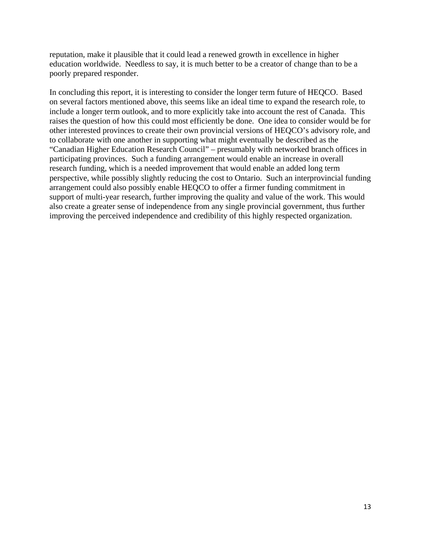reputation, make it plausible that it could lead a renewed growth in excellence in higher education worldwide. Needless to say, it is much better to be a creator of change than to be a poorly prepared responder.

In concluding this report, it is interesting to consider the longer term future of HEQCO. Based on several factors mentioned above, this seems like an ideal time to expand the research role, to include a longer term outlook, and to more explicitly take into account the rest of Canada. This raises the question of how this could most efficiently be done. One idea to consider would be for other interested provinces to create their own provincial versions of HEQCO's advisory role, and to collaborate with one another in supporting what might eventually be described as the "Canadian Higher Education Research Council" – presumably with networked branch offices in participating provinces. Such a funding arrangement would enable an increase in overall research funding, which is a needed improvement that would enable an added long term perspective, while possibly slightly reducing the cost to Ontario. Such an interprovincial funding arrangement could also possibly enable HEQCO to offer a firmer funding commitment in support of multi-year research, further improving the quality and value of the work. This would also create a greater sense of independence from any single provincial government, thus further improving the perceived independence and credibility of this highly respected organization.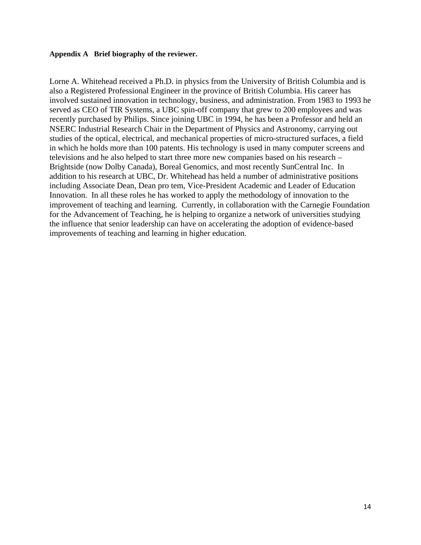#### **Appendix A Brief biography of the reviewer.**

Lorne A. Whitehead received a Ph.D. in physics from the University of British Columbia and is also a Registered Professional Engineer in the province of British Columbia. His career has involved sustained innovation in technology, business, and administration. From 1983 to 1993 he served as CEO of TIR Systems, a UBC spin-off company that grew to 200 employees and was recently purchased by Philips. Since joining UBC in 1994, he has been a Professor and held an NSERC Industrial Research Chair in the Department of Physics and Astronomy, carrying out studies of the optical, electrical, and mechanical properties of micro-structured surfaces, a field in which he holds more than 100 patents. His technology is used in many computer screens and televisions and he also helped to start three more new companies based on his research – Brightside (now Dolby Canada), Boreal Genomics, and most recently SunCentral Inc. In addition to his research at UBC, Dr. Whitehead has held a number of administrative positions including Associate Dean, Dean pro tem, Vice-President Academic and Leader of Education Innovation. In all these roles he has worked to apply the methodology of innovation to the improvement of teaching and learning. Currently, in collaboration with the Carnegie Foundation for the Advancement of Teaching, he is helping to organize a network of universities studying the influence that senior leadership can have on accelerating the adoption of evidence-based improvements of teaching and learning in higher education.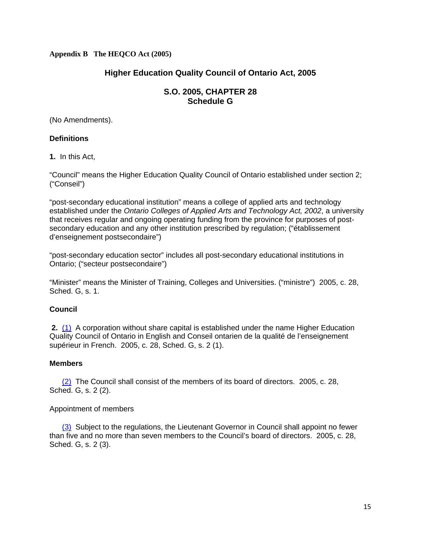#### **Appendix B The HEQCO Act (2005)**

# **Higher Education Quality Council of Ontario Act, 2005**

#### **S.O. 2005, CHAPTER 28 Schedule G**

(No Amendments).

#### **Definitions**

**1.** In this Act,

"Council" means the Higher Education Quality Council of Ontario established under section 2; ("Conseil")

"post-secondary educational institution" means a college of applied arts and technology established under the *Ontario Colleges of Applied Arts and Technology Act, 2002*, a university that receives regular and ongoing operating funding from the province for purposes of postsecondary education and any other institution prescribed by regulation; ("établissement d'enseignement postsecondaire")

"post-secondary education sector" includes all post-secondary educational institutions in Ontario; ("secteur postsecondaire")

"Minister" means the Minister of Training, Colleges and Universities. ("ministre") 2005, c. 28, Sched. G, s. 1.

#### **Council**

**2.** (1) A corporation without share capital is established under the name Higher Education Quality Council of Ontario in English and Conseil ontarien de la qualité de l'enseignement supérieur in French. 2005, c. 28, Sched. G, s. 2 (1).

#### **Members**

(2) The Council shall consist of the members of its board of directors. 2005, c. 28, Sched. G, s. 2 (2).

#### Appointment of members

(3) Subject to the regulations, the Lieutenant Governor in Council shall appoint no fewer than five and no more than seven members to the Council's board of directors. 2005, c. 28, Sched. G, s. 2 (3).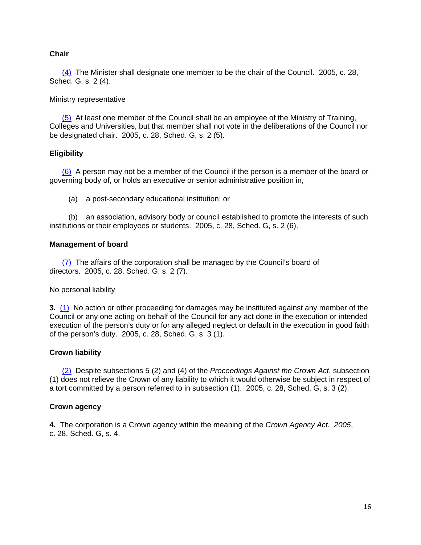#### **Chair**

 (4) The Minister shall designate one member to be the chair of the Council. 2005, c. 28, Sched. G, s. 2 (4).

#### Ministry representative

 (5) At least one member of the Council shall be an employee of the Ministry of Training, Colleges and Universities, but that member shall not vote in the deliberations of the Council nor be designated chair. 2005, c. 28, Sched. G, s. 2 (5).

#### **Eligibility**

 (6) A person may not be a member of the Council if the person is a member of the board or governing body of, or holds an executive or senior administrative position in,

(a) a post-secondary educational institution; or

 (b) an association, advisory body or council established to promote the interests of such institutions or their employees or students. 2005, c. 28, Sched. G, s. 2 (6).

#### **Management of board**

 (7) The affairs of the corporation shall be managed by the Council's board of directors. 2005, c. 28, Sched. G, s. 2 (7).

No personal liability

**3.** (1) No action or other proceeding for damages may be instituted against any member of the Council or any one acting on behalf of the Council for any act done in the execution or intended execution of the person's duty or for any alleged neglect or default in the execution in good faith of the person's duty. 2005, c. 28, Sched. G, s. 3 (1).

#### **Crown liability**

 (2) Despite subsections 5 (2) and (4) of the *Proceedings Against the Crown Act*, subsection (1) does not relieve the Crown of any liability to which it would otherwise be subject in respect of a tort committed by a person referred to in subsection (1). 2005, c. 28, Sched. G, s. 3 (2).

#### **Crown agency**

**4.** The corporation is a Crown agency within the meaning of the *Crown Agency Act. 2005*, c. 28, Sched. G, s. 4.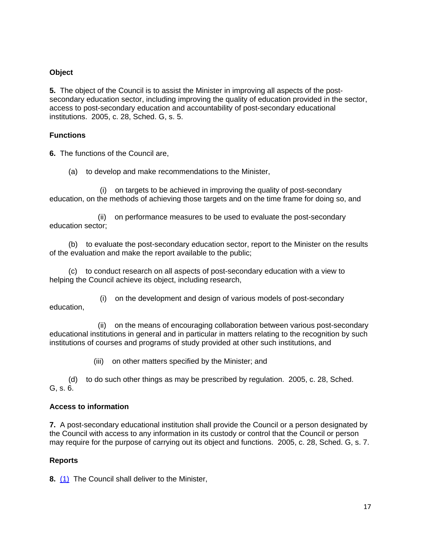#### **Object**

**5.** The object of the Council is to assist the Minister in improving all aspects of the postsecondary education sector, including improving the quality of education provided in the sector, access to post-secondary education and accountability of post-secondary educational institutions. 2005, c. 28, Sched. G, s. 5.

#### **Functions**

**6.** The functions of the Council are,

(a) to develop and make recommendations to the Minister,

 (i) on targets to be achieved in improving the quality of post-secondary education, on the methods of achieving those targets and on the time frame for doing so, and

 (ii) on performance measures to be used to evaluate the post-secondary education sector;

 (b) to evaluate the post-secondary education sector, report to the Minister on the results of the evaluation and make the report available to the public;

 (c) to conduct research on all aspects of post-secondary education with a view to helping the Council achieve its object, including research,

 (i) on the development and design of various models of post-secondary education,

 (ii) on the means of encouraging collaboration between various post-secondary educational institutions in general and in particular in matters relating to the recognition by such institutions of courses and programs of study provided at other such institutions, and

(iii) on other matters specified by the Minister; and

 (d) to do such other things as may be prescribed by regulation. 2005, c. 28, Sched. G, s. 6.

#### **Access to information**

**7.** A post-secondary educational institution shall provide the Council or a person designated by the Council with access to any information in its custody or control that the Council or person may require for the purpose of carrying out its object and functions.2005, c. 28, Sched. G, s. 7.

#### **Reports**

**8.** (1) The Council shall deliver to the Minister,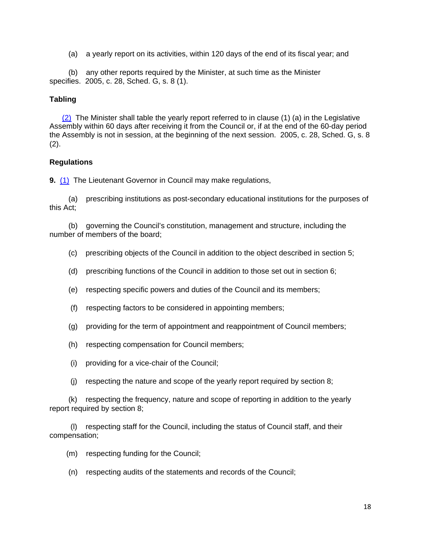(a) a yearly report on its activities, within 120 days of the end of its fiscal year; and

 (b) any other reports required by the Minister, at such time as the Minister specifies. 2005, c. 28, Sched. G, s. 8 (1).

#### **Tabling**

 (2) The Minister shall table the yearly report referred to in clause (1) (a) in the Legislative Assembly within 60 days after receiving it from the Council or, if at the end of the 60-day period the Assembly is not in session, at the beginning of the next session. 2005, c. 28, Sched. G, s. 8 (2).

#### **Regulations**

**9.** (1) The Lieutenant Governor in Council may make regulations,

 (a) prescribing institutions as post-secondary educational institutions for the purposes of this Act;

 (b) governing the Council's constitution, management and structure, including the number of members of the board;

- (c) prescribing objects of the Council in addition to the object described in section 5;
- (d) prescribing functions of the Council in addition to those set out in section 6;
- (e) respecting specific powers and duties of the Council and its members;
- (f) respecting factors to be considered in appointing members;
- (g) providing for the term of appointment and reappointment of Council members;
- (h) respecting compensation for Council members;
- (i) providing for a vice-chair of the Council;
- (j) respecting the nature and scope of the yearly report required by section 8;

 (k) respecting the frequency, nature and scope of reporting in addition to the yearly report required by section 8;

 (l) respecting staff for the Council, including the status of Council staff, and their compensation;

- (m) respecting funding for the Council;
- (n) respecting audits of the statements and records of the Council;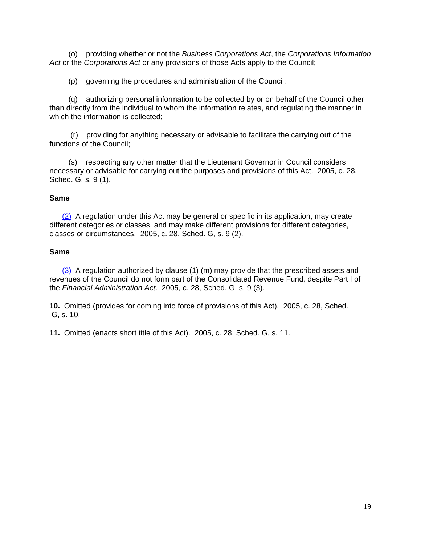(o) providing whether or not the *Business Corporations Act*, the *Corporations Information Act* or the *Corporations Act* or any provisions of those Acts apply to the Council;

(p) governing the procedures and administration of the Council;

 (q) authorizing personal information to be collected by or on behalf of the Council other than directly from the individual to whom the information relates, and regulating the manner in which the information is collected:

 (r) providing for anything necessary or advisable to facilitate the carrying out of the functions of the Council;

 (s) respecting any other matter that the Lieutenant Governor in Council considers necessary or advisable for carrying out the purposes and provisions of this Act. 2005, c. 28, Sched. G, s. 9 (1).

#### **Same**

 (2) A regulation under this Act may be general or specific in its application, may create different categories or classes, and may make different provisions for different categories, classes or circumstances. 2005, c. 28, Sched. G, s. 9 (2).

#### **Same**

 $(3)$  A regulation authorized by clause (1) (m) may provide that the prescribed assets and revenues of the Council do not form part of the Consolidated Revenue Fund, despite Part I of the *Financial Administration Act*. 2005, c. 28, Sched. G, s. 9 (3).

**10.** Omitted (provides for coming into force of provisions of this Act). 2005, c. 28, Sched. G, s. 10.

**11.** Omitted (enacts short title of this Act). 2005, c. 28, Sched. G, s. 11.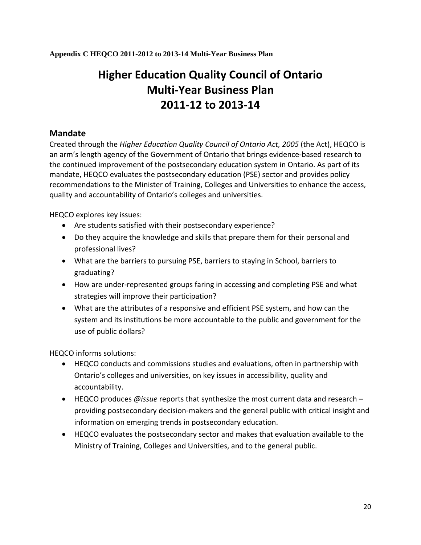**Appendix C HEQCO 2011-2012 to 2013-14 Multi-Year Business Plan** 

# **Higher Education Quality Council of Ontario Multi‐Year Business Plan 2011‐12 to 2013‐14**

# **Mandate**

Created through the *Higher Education Quality Council of Ontario Act, 2005* (the Act), HEQCO is an arm's length agency of the Government of Ontario that brings evidence‐based research to the continued improvement of the postsecondary education system in Ontario. As part of its mandate, HEQCO evaluates the postsecondary education (PSE) sector and provides policy recommendations to the Minister of Training, Colleges and Universities to enhance the access, quality and accountability of Ontario's colleges and universities.

HEQCO explores key issues:

- Are students satisfied with their postsecondary experience?
- Do they acquire the knowledge and skills that prepare them for their personal and professional lives?
- What are the barriers to pursuing PSE, barriers to staying in School, barriers to graduating?
- How are under‐represented groups faring in accessing and completing PSE and what strategies will improve their participation?
- What are the attributes of a responsive and efficient PSE system, and how can the system and its institutions be more accountable to the public and government for the use of public dollars?

HEQCO informs solutions:

- HEQCO conducts and commissions studies and evaluations, often in partnership with Ontario's colleges and universities, on key issues in accessibility, quality and accountability.
- HEQCO produces *@issue* reports that synthesize the most current data and research providing postsecondary decision‐makers and the general public with critical insight and information on emerging trends in postsecondary education.
- HEQCO evaluates the postsecondary sector and makes that evaluation available to the Ministry of Training, Colleges and Universities, and to the general public.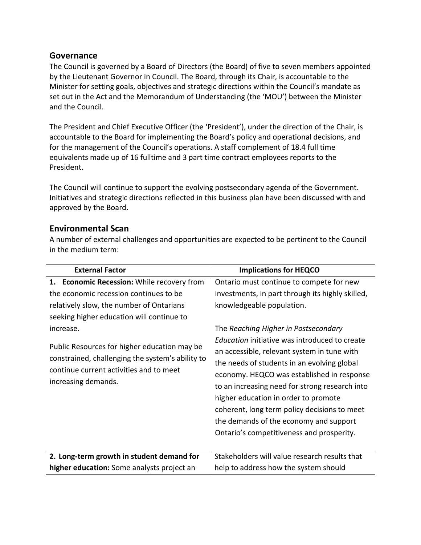# **Governance**

The Council is governed by a Board of Directors (the Board) of five to seven members appointed by the Lieutenant Governor in Council. The Board, through its Chair, is accountable to the Minister for setting goals, objectives and strategic directions within the Council's mandate as set out in the Act and the Memorandum of Understanding (the 'MOU') between the Minister and the Council.

The President and Chief Executive Officer (the 'President'), under the direction of the Chair, is accountable to the Board for implementing the Board's policy and operational decisions, and for the management of the Council's operations. A staff complement of 18.4 full time equivalents made up of 16 fulltime and 3 part time contract employees reports to the President.

The Council will continue to support the evolving postsecondary agenda of the Government. Initiatives and strategic directions reflected in this business plan have been discussed with and approved by the Board.

# **Environmental Scan**

A number of external challenges and opportunities are expected to be pertinent to the Council in the medium term:

| <b>External Factor</b>                                                                                                                                                                                                                                                                                                                                           | <b>Implications for HEQCO</b>                                                                                                                                                                                                                                                                                                                                                                                                                                                                                                                                                                   |  |  |
|------------------------------------------------------------------------------------------------------------------------------------------------------------------------------------------------------------------------------------------------------------------------------------------------------------------------------------------------------------------|-------------------------------------------------------------------------------------------------------------------------------------------------------------------------------------------------------------------------------------------------------------------------------------------------------------------------------------------------------------------------------------------------------------------------------------------------------------------------------------------------------------------------------------------------------------------------------------------------|--|--|
| 1. Economic Recession: While recovery from<br>the economic recession continues to be<br>relatively slow, the number of Ontarians<br>seeking higher education will continue to<br>increase.<br>Public Resources for higher education may be<br>constrained, challenging the system's ability to<br>continue current activities and to meet<br>increasing demands. | Ontario must continue to compete for new<br>investments, in part through its highly skilled,<br>knowledgeable population.<br>The Reaching Higher in Postsecondary<br>Education initiative was introduced to create<br>an accessible, relevant system in tune with<br>the needs of students in an evolving global<br>economy. HEQCO was established in response<br>to an increasing need for strong research into<br>higher education in order to promote<br>coherent, long term policy decisions to meet<br>the demands of the economy and support<br>Ontario's competitiveness and prosperity. |  |  |
| 2. Long-term growth in student demand for<br>higher education: Some analysts project an                                                                                                                                                                                                                                                                          | Stakeholders will value research results that<br>help to address how the system should                                                                                                                                                                                                                                                                                                                                                                                                                                                                                                          |  |  |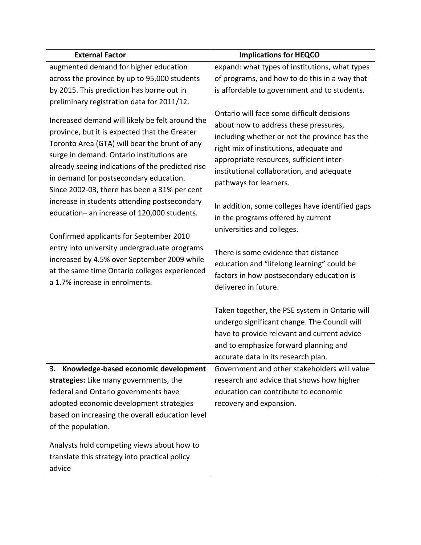| <b>External Factor</b>                                                                                                                                                                                                                                                                                                                                                                                                                                                                                                                                                                                                                                                   | <b>Implications for HEQCO</b>                                                                                                                                                                                                                                                                                                                                                                                                                                                                                                                                                        |
|--------------------------------------------------------------------------------------------------------------------------------------------------------------------------------------------------------------------------------------------------------------------------------------------------------------------------------------------------------------------------------------------------------------------------------------------------------------------------------------------------------------------------------------------------------------------------------------------------------------------------------------------------------------------------|--------------------------------------------------------------------------------------------------------------------------------------------------------------------------------------------------------------------------------------------------------------------------------------------------------------------------------------------------------------------------------------------------------------------------------------------------------------------------------------------------------------------------------------------------------------------------------------|
| augmented demand for higher education                                                                                                                                                                                                                                                                                                                                                                                                                                                                                                                                                                                                                                    | expand: what types of institutions, what types                                                                                                                                                                                                                                                                                                                                                                                                                                                                                                                                       |
| across the province by up to 95,000 students                                                                                                                                                                                                                                                                                                                                                                                                                                                                                                                                                                                                                             | of programs, and how to do this in a way that                                                                                                                                                                                                                                                                                                                                                                                                                                                                                                                                        |
| by 2015. This prediction has borne out in                                                                                                                                                                                                                                                                                                                                                                                                                                                                                                                                                                                                                                | is affordable to government and to students.                                                                                                                                                                                                                                                                                                                                                                                                                                                                                                                                         |
| preliminary registration data for 2011/12.                                                                                                                                                                                                                                                                                                                                                                                                                                                                                                                                                                                                                               |                                                                                                                                                                                                                                                                                                                                                                                                                                                                                                                                                                                      |
| Increased demand will likely be felt around the<br>province, but it is expected that the Greater<br>Toronto Area (GTA) will bear the brunt of any<br>surge in demand. Ontario institutions are<br>already seeing indications of the predicted rise<br>in demand for postsecondary education.<br>Since 2002-03, there has been a 31% per cent<br>increase in students attending postsecondary<br>education- an increase of 120,000 students.<br>Confirmed applicants for September 2010<br>entry into university undergraduate programs<br>increased by 4.5% over September 2009 while<br>at the same time Ontario colleges experienced<br>a 1.7% increase in enrolments. | Ontario will face some difficult decisions<br>about how to address these pressures,<br>including whether or not the province has the<br>right mix of institutions, adequate and<br>appropriate resources, sufficient inter-<br>institutional collaboration, and adequate<br>pathways for learners.<br>In addition, some colleges have identified gaps<br>in the programs offered by current<br>universities and colleges.<br>There is some evidence that distance<br>education and "lifelong learning" could be<br>factors in how postsecondary education is<br>delivered in future. |
| 3. Knowledge-based economic development<br>strategies: Like many governments, the<br>federal and Ontario governments have<br>adopted economic development strategies<br>based on increasing the overall education level<br>of the population.<br>Analysts hold competing views about how to<br>translate this strategy into practical policy<br>advice                                                                                                                                                                                                                                                                                                                   | Taken together, the PSE system in Ontario will<br>undergo significant change. The Council will<br>have to provide relevant and current advice<br>and to emphasize forward planning and<br>accurate data in its research plan.<br>Government and other stakeholders will value<br>research and advice that shows how higher<br>education can contribute to economic<br>recovery and expansion.                                                                                                                                                                                        |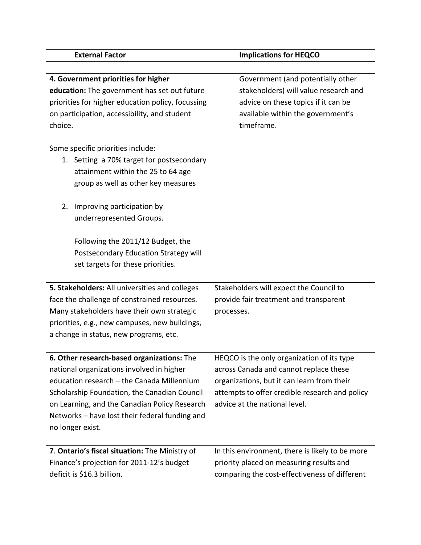| <b>External Factor</b>                            | <b>Implications for HEQCO</b>                   |  |  |
|---------------------------------------------------|-------------------------------------------------|--|--|
|                                                   |                                                 |  |  |
| 4. Government priorities for higher               | Government (and potentially other               |  |  |
| education: The government has set out future      | stakeholders) will value research and           |  |  |
| priorities for higher education policy, focussing | advice on these topics if it can be             |  |  |
| on participation, accessibility, and student      | available within the government's               |  |  |
| choice.                                           | timeframe.                                      |  |  |
| Some specific priorities include:                 |                                                 |  |  |
| 1. Setting a 70% target for postsecondary         |                                                 |  |  |
| attainment within the 25 to 64 age                |                                                 |  |  |
| group as well as other key measures               |                                                 |  |  |
|                                                   |                                                 |  |  |
| 2.<br>Improving participation by                  |                                                 |  |  |
| underrepresented Groups.                          |                                                 |  |  |
|                                                   |                                                 |  |  |
| Following the 2011/12 Budget, the                 |                                                 |  |  |
| Postsecondary Education Strategy will             |                                                 |  |  |
| set targets for these priorities.                 |                                                 |  |  |
|                                                   |                                                 |  |  |
| 5. Stakeholders: All universities and colleges    | Stakeholders will expect the Council to         |  |  |
| face the challenge of constrained resources.      | provide fair treatment and transparent          |  |  |
| Many stakeholders have their own strategic        | processes.                                      |  |  |
| priorities, e.g., new campuses, new buildings,    |                                                 |  |  |
| a change in status, new programs, etc.            |                                                 |  |  |
| 6. Other research-based organizations: The        | HEQCO is the only organization of its type      |  |  |
| national organizations involved in higher         | across Canada and cannot replace these          |  |  |
| education research - the Canada Millennium        | organizations, but it can learn from their      |  |  |
| Scholarship Foundation, the Canadian Council      | attempts to offer credible research and policy  |  |  |
| on Learning, and the Canadian Policy Research     | advice at the national level.                   |  |  |
| Networks - have lost their federal funding and    |                                                 |  |  |
| no longer exist.                                  |                                                 |  |  |
|                                                   |                                                 |  |  |
| 7. Ontario's fiscal situation: The Ministry of    | In this environment, there is likely to be more |  |  |
| Finance's projection for 2011-12's budget         | priority placed on measuring results and        |  |  |
| deficit is \$16.3 billion.                        | comparing the cost-effectiveness of different   |  |  |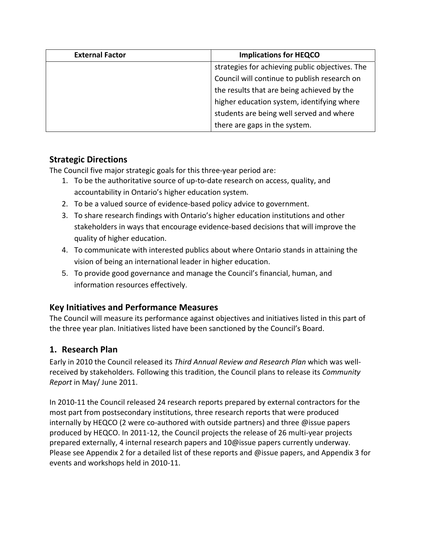| <b>External Factor</b> | <b>Implications for HEQCO</b>                   |  |  |
|------------------------|-------------------------------------------------|--|--|
|                        | strategies for achieving public objectives. The |  |  |
|                        | Council will continue to publish research on    |  |  |
|                        | the results that are being achieved by the      |  |  |
|                        | higher education system, identifying where      |  |  |
|                        | students are being well served and where        |  |  |
|                        | there are gaps in the system.                   |  |  |

# **Strategic Directions**

The Council five major strategic goals for this three‐year period are:

- 1. To be the authoritative source of up‐to‐date research on access, quality, and accountability in Ontario's higher education system.
- 2. To be a valued source of evidence-based policy advice to government.
- 3. To share research findings with Ontario's higher education institutions and other stakeholders in ways that encourage evidence‐based decisions that will improve the quality of higher education.
- 4. To communicate with interested publics about where Ontario stands in attaining the vision of being an international leader in higher education.
- 5. To provide good governance and manage the Council's financial, human, and information resources effectively.

# **Key Initiatives and Performance Measures**

The Council will measure its performance against objectives and initiatives listed in this part of the three year plan. Initiatives listed have been sanctioned by the Council's Board.

# **1. Research Plan**

Early in 2010 the Council released its *Third Annual Review and Research Plan* which was well‐ received by stakeholders*.* Following this tradition, the Council plans to release its *Community Report* in May/ June 2011.

In 2010‐11 the Council released 24 research reports prepared by external contractors for the most part from postsecondary institutions, three research reports that were produced internally by HEQCO (2 were co-authored with outside partners) and three @issue papers produced by HEQCO. In 2011‐12, the Council projects the release of 26 multi‐year projects prepared externally, 4 internal research papers and 10@issue papers currently underway. Please see Appendix 2 for a detailed list of these reports and @issue papers, and Appendix 3 for events and workshops held in 2010‐11.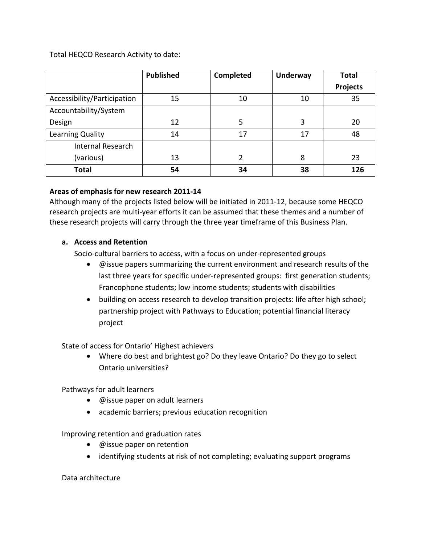Total HEQCO Research Activity to date:

|                             | <b>Published</b> | Completed | <b>Underway</b> | <b>Total</b>    |
|-----------------------------|------------------|-----------|-----------------|-----------------|
|                             |                  |           |                 | <b>Projects</b> |
| Accessibility/Participation | 15               | 10        | 10              | 35              |
| Accountability/System       |                  |           |                 |                 |
| Design                      | 12               | 5         | 3               | 20              |
| Learning Quality            | 14               | 17        | 17              | 48              |
| Internal Research           |                  |           |                 |                 |
| (various)                   | 13               | 2         | 8               | 23              |
| <b>Total</b>                | 54               | 34        | 38              | 126             |

# **Areas of emphasis for new research 2011‐14**

Although many of the projects listed below will be initiated in 2011‐12, because some HEQCO research projects are multi‐year efforts it can be assumed that these themes and a number of these research projects will carry through the three year timeframe of this Business Plan.

# **a. Access and Retention**

Socio-cultural barriers to access, with a focus on under-represented groups

- @issue papers summarizing the current environment and research results of the last three years for specific under-represented groups: first generation students; Francophone students; low income students; students with disabilities
- building on access research to develop transition projects: life after high school; partnership project with Pathways to Education; potential financial literacy project

State of access for Ontario' Highest achievers

• Where do best and brightest go? Do they leave Ontario? Do they go to select Ontario universities?

Pathways for adult learners

- @issue paper on adult learners
- academic barriers; previous education recognition

Improving retention and graduation rates

- @issue paper on retention
- identifying students at risk of not completing; evaluating support programs

Data architecture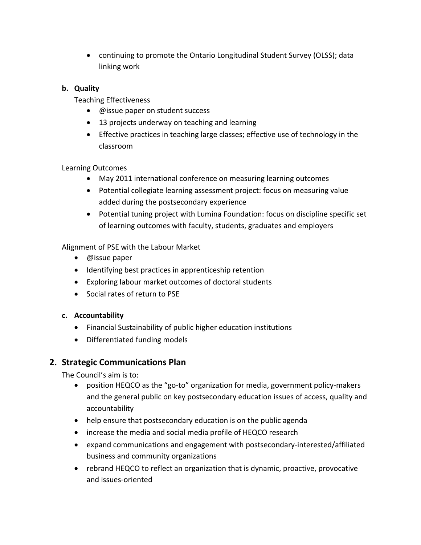• continuing to promote the Ontario Longitudinal Student Survey (OLSS); data linking work

# **b. Quality**

Teaching Effectiveness

- @issue paper on student success
- 13 projects underway on teaching and learning
- Effective practices in teaching large classes; effective use of technology in the classroom

Learning Outcomes

- May 2011 international conference on measuring learning outcomes
- Potential collegiate learning assessment project: focus on measuring value added during the postsecondary experience
- Potential tuning project with Lumina Foundation: focus on discipline specific set of learning outcomes with faculty, students, graduates and employers

Alignment of PSE with the Labour Market

- @issue paper
- Identifying best practices in apprenticeship retention
- Exploring labour market outcomes of doctoral students
- Social rates of return to PSE

# **c. Accountability**

- Financial Sustainability of public higher education institutions
- Differentiated funding models

# **2. Strategic Communications Plan**

The Council's aim is to:

- position HEQCO as the "go‐to" organization for media, government policy‐makers and the general public on key postsecondary education issues of access, quality and accountability
- help ensure that postsecondary education is on the public agenda
- increase the media and social media profile of HEQCO research
- expand communications and engagement with postsecondary‐interested/affiliated business and community organizations
- rebrand HEQCO to reflect an organization that is dynamic, proactive, provocative and issues‐oriented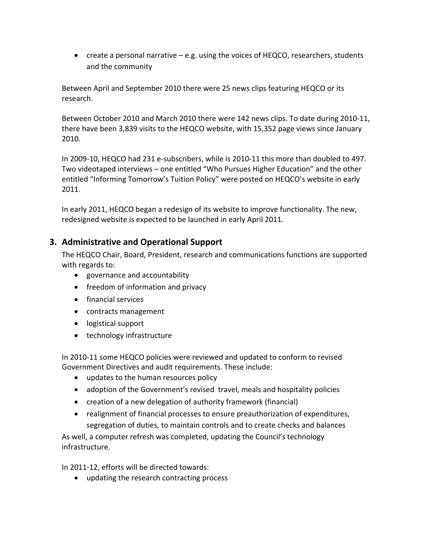• create a personal narrative  $-e.g.$  using the voices of HEQCO, researchers, students and the community

Between April and September 2010 there were 25 news clips featuring HEQCO or its research.

Between October 2010 and March 2010 there were 142 news clips. To date during 2010‐11, there have been 3,839 visits to the HEQCO website, with 15,352 page views since January 2010.

In 2009‐10, HEQCO had 231 e‐subscribers, while is 2010‐11 this more than doubled to 497. Two videotaped interviews – one entitled "Who Pursues Higher Education" and the other entitled "Informing Tomorrow's Tuition Policy" were posted on HEQCO's website in early 2011.

In early 2011, HEQCO began a redesign of its website to improve functionality. The new, redesigned website is expected to be launched in early April 2011.

# **3. Administrative and Operational Support**

The HEQCO Chair, Board, President, research and communications functions are supported with regards to:

- governance and accountability
- freedom of information and privacy
- financial services
- contracts management
- logistical support
- technology infrastructure

In 2010‐11 some HEQCO policies were reviewed and updated to conform to revised Government Directives and audit requirements. These include:

- updates to the human resources policy
- adoption of the Government's revised travel, meals and hospitality policies
- creation of a new delegation of authority framework (financial)
- realignment of financial processes to ensure preauthorization of expenditures, segregation of duties, to maintain controls and to create checks and balances

As well, a computer refresh was completed, updating the Council's technology infrastructure.

In 2011‐12, efforts will be directed towards:

• updating the research contracting process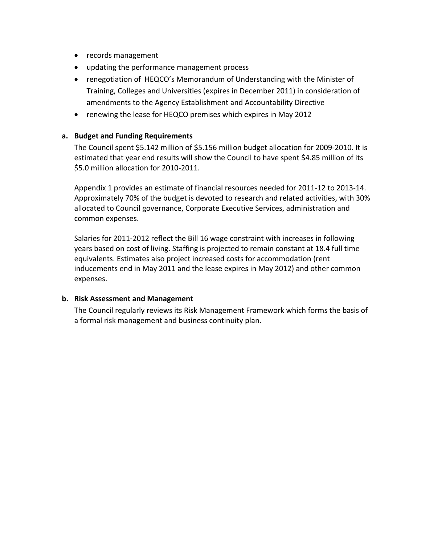- records management
- updating the performance management process
- renegotiation of HEQCO's Memorandum of Understanding with the Minister of Training, Colleges and Universities (expires in December 2011) in consideration of amendments to the Agency Establishment and Accountability Directive
- renewing the lease for HEQCO premises which expires in May 2012

#### **a. Budget and Funding Requirements**

The Council spent \$5.142 million of \$5.156 million budget allocation for 2009-2010. It is estimated that year end results will show the Council to have spent \$4.85 million of its \$5.0 million allocation for 2010‐2011.

Appendix 1 provides an estimate of financial resources needed for 2011‐12 to 2013‐14. Approximately 70% of the budget is devoted to research and related activities, with 30% allocated to Council governance, Corporate Executive Services, administration and common expenses.

Salaries for 2011‐2012 reflect the Bill 16 wage constraint with increases in following years based on cost of living. Staffing is projected to remain constant at 18.4 full time equivalents. Estimates also project increased costs for accommodation (rent inducements end in May 2011 and the lease expires in May 2012) and other common expenses.

#### **b. Risk Assessment and Management**

The Council regularly reviews its Risk Management Framework which forms the basis of a formal risk management and business continuity plan.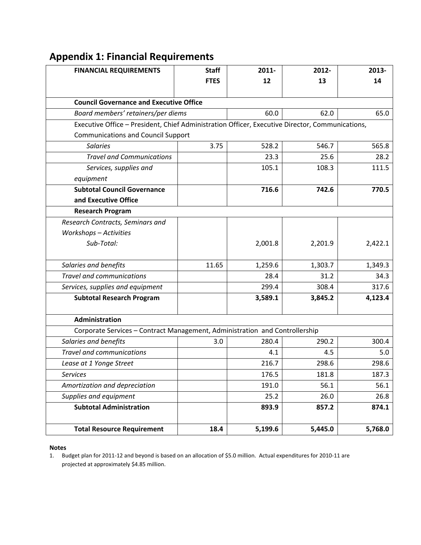# **Appendix 1: Financial Requirements**

| <b>FINANCIAL REQUIREMENTS</b>                                                                   | <b>Staff</b> | 2011-   | 2012-   | 2013-   |
|-------------------------------------------------------------------------------------------------|--------------|---------|---------|---------|
|                                                                                                 | <b>FTES</b>  | 12      | 13      | 14      |
|                                                                                                 |              |         |         |         |
| <b>Council Governance and Executive Office</b>                                                  |              |         |         |         |
| Board members' retainers/per diems                                                              |              | 60.0    | 62.0    | 65.0    |
| Executive Office - President, Chief Administration Officer, Executive Director, Communications, |              |         |         |         |
| <b>Communications and Council Support</b>                                                       |              |         |         |         |
| <b>Salaries</b>                                                                                 | 3.75         | 528.2   | 546.7   | 565.8   |
| <b>Travel and Communications</b>                                                                |              | 23.3    | 25.6    | 28.2    |
| Services, supplies and                                                                          |              | 105.1   | 108.3   | 111.5   |
| equipment                                                                                       |              |         |         |         |
| <b>Subtotal Council Governance</b>                                                              |              | 716.6   | 742.6   | 770.5   |
| and Executive Office                                                                            |              |         |         |         |
| <b>Research Program</b>                                                                         |              |         |         |         |
| Research Contracts, Seminars and                                                                |              |         |         |         |
| <b>Workshops - Activities</b>                                                                   |              |         |         |         |
| Sub-Total:                                                                                      |              | 2,001.8 | 2,201.9 | 2,422.1 |
|                                                                                                 |              |         |         |         |
| Salaries and benefits                                                                           | 11.65        | 1,259.6 | 1,303.7 | 1,349.3 |
| <b>Travel and communications</b>                                                                |              | 28.4    | 31.2    | 34.3    |
| Services, supplies and equipment                                                                |              | 299.4   | 308.4   | 317.6   |
| <b>Subtotal Research Program</b>                                                                |              | 3,589.1 | 3,845.2 | 4,123.4 |
|                                                                                                 |              |         |         |         |
| Administration                                                                                  |              |         |         |         |
| Corporate Services - Contract Management, Administration and Controllership                     |              |         |         |         |
| Salaries and benefits                                                                           | 3.0          | 280.4   | 290.2   | 300.4   |
| <b>Travel and communications</b>                                                                |              | 4.1     | 4.5     | 5.0     |
| Lease at 1 Yonge Street                                                                         |              | 216.7   | 298.6   | 298.6   |
| Services                                                                                        |              | 176.5   | 181.8   | 187.3   |
| Amortization and depreciation                                                                   |              | 191.0   | 56.1    | 56.1    |
| Supplies and equipment                                                                          |              | 25.2    | 26.0    | 26.8    |
| <b>Subtotal Administration</b>                                                                  |              | 893.9   | 857.2   | 874.1   |
|                                                                                                 |              |         |         |         |
| <b>Total Resource Requirement</b>                                                               | 18.4         | 5,199.6 | 5,445.0 | 5,768.0 |

#### **Notes**

1. Budget plan for 2011‐12 and beyond is based on an allocation of \$5.0 million. Actual expenditures for 2010‐11 are projected at approximately \$4.85 million.